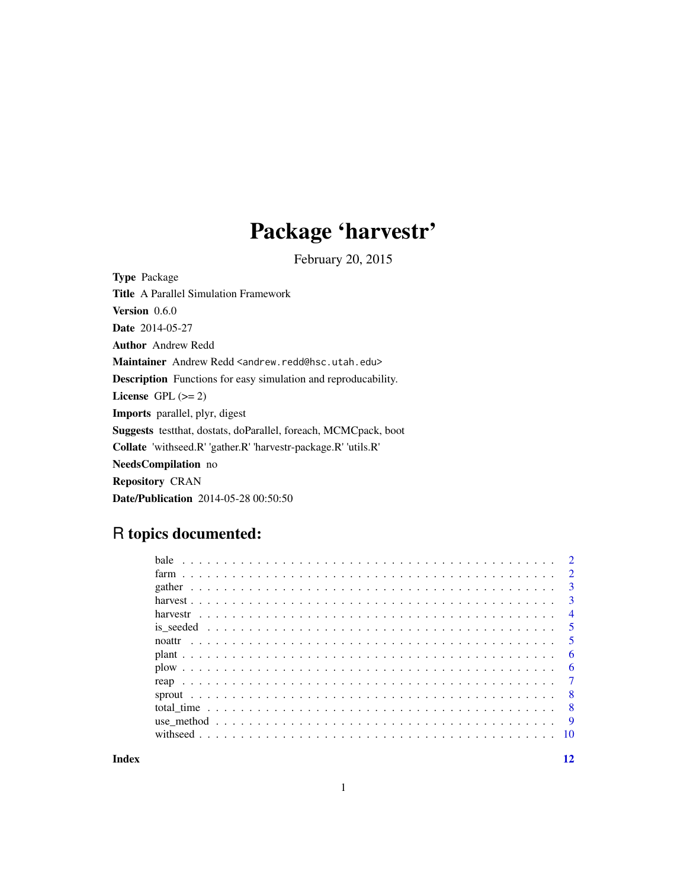## Package 'harvestr'

February 20, 2015

<span id="page-0-0"></span>Type Package Title A Parallel Simulation Framework Version 0.6.0 Date 2014-05-27 Author Andrew Redd Maintainer Andrew Redd <andrew.redd@hsc.utah.edu> Description Functions for easy simulation and reproducability. License GPL  $(>= 2)$ Imports parallel, plyr, digest Suggests testthat, dostats, doParallel, foreach, MCMCpack, boot Collate 'withseed.R' 'gather.R' 'harvestr-package.R' 'utils.R' NeedsCompilation no Repository CRAN Date/Publication 2014-05-28 00:50:50

### R topics documented:

| $\overline{2}$             |
|----------------------------|
| $\overline{3}$             |
| $\overline{3}$             |
| $\overline{4}$             |
| $\overline{\phantom{0}}$ 5 |
| - 5                        |
| - 6                        |
| - 6                        |
|                            |
| - 8                        |
| $\overline{8}$             |
|                            |
|                            |
|                            |

**Index** [12](#page-11-0)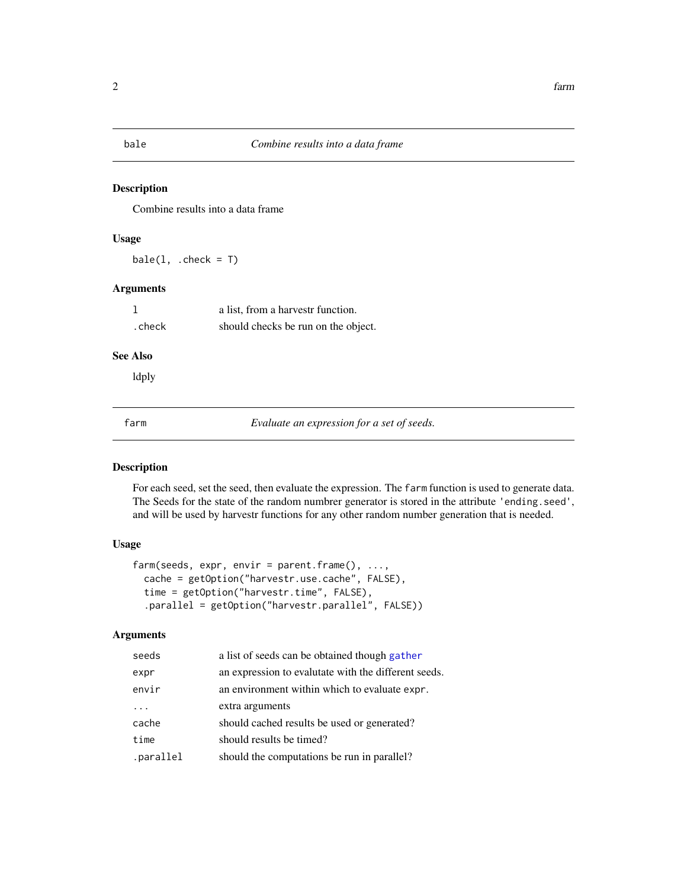<span id="page-1-0"></span>

Combine results into a data frame

#### Usage

 $bale(1, .check = T)$ 

#### Arguments

|        | a list, from a harvestr function.   |
|--------|-------------------------------------|
| .check | should checks be run on the object. |

#### See Also

ldply

<span id="page-1-1"></span>

farm *Evaluate an expression for a set of seeds.*

#### Description

For each seed, set the seed, then evaluate the expression. The farm function is used to generate data. The Seeds for the state of the random numbrer generator is stored in the attribute 'ending.seed', and will be used by harvestr functions for any other random number generation that is needed.

### Usage

```
farm(seeds, expr, envir = parent.frame(), ...,
 cache = getOption("harvestr.use.cache", FALSE),
  time = getOption("harvestr.time", FALSE),
  .parallel = getOption("harvestr.parallel", FALSE))
```
#### Arguments

| seeds     | a list of seeds can be obtained though gather        |
|-----------|------------------------------------------------------|
| expr      | an expression to evalutate with the different seeds. |
| envir     | an environment within which to evaluate expr.        |
| $\cdots$  | extra arguments                                      |
| cache     | should cached results be used or generated?          |
| time      | should results be timed?                             |
| .parallel | should the computations be run in parallel?          |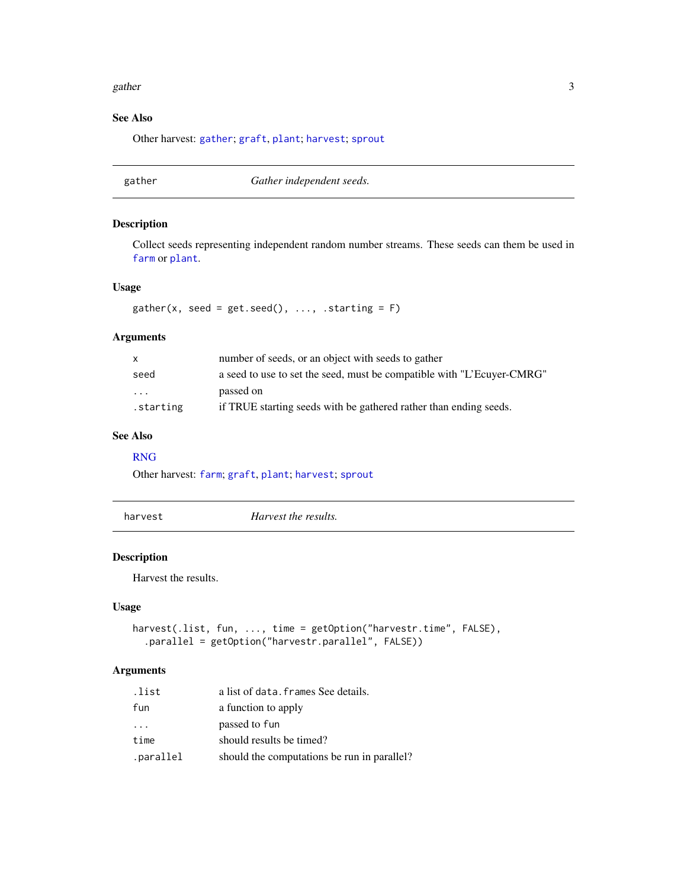#### <span id="page-2-0"></span>gather 3

#### See Also

Other harvest: [gather](#page-2-1); [graft](#page-5-1), [plant](#page-5-2); [harvest](#page-2-2); [sprout](#page-7-1)

<span id="page-2-1"></span>gather *Gather independent seeds.*

#### Description

Collect seeds representing independent random number streams. These seeds can them be used in [farm](#page-1-1) or [plant](#page-5-2).

#### Usage

 $gather(x, seed = get.eed(), ..., starting = F)$ 

#### Arguments

| $\mathsf{x}$ | number of seeds, or an object with seeds to gather                     |
|--------------|------------------------------------------------------------------------|
| seed         | a seed to use to set the seed, must be compatible with "L'Ecuver-CMRG" |
| .            | passed on                                                              |
| starting.    | if TRUE starting seeds with be gathered rather than ending seeds.      |

#### See Also

#### [RNG](#page-0-0)

Other harvest: [farm](#page-1-1); [graft](#page-5-1), [plant](#page-5-2); [harvest](#page-2-2); [sprout](#page-7-1)

<span id="page-2-2"></span>harvest *Harvest the results.*

#### Description

Harvest the results.

#### Usage

```
harvest(.list, fun, ..., time = getOption("harvestr.time", FALSE),
  .parallel = getOption("harvestr.parallel", FALSE))
```
#### Arguments

| .list     | a list of data. frames See details.         |
|-----------|---------------------------------------------|
| fun       | a function to apply                         |
| .         | passed to fun                               |
| time      | should results be timed?                    |
| .parallel | should the computations be run in parallel? |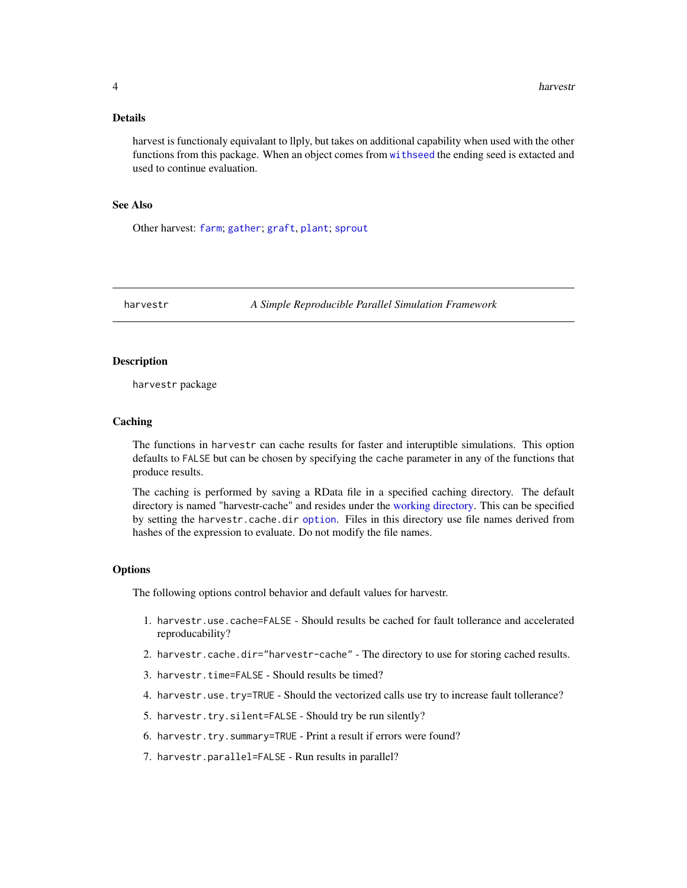#### <span id="page-3-0"></span>Details

harvest is functionaly equivalant to llply, but takes on additional capability when used with the other functions from this package. When an object comes from [withseed](#page-9-1) the ending seed is extacted and used to continue evaluation.

#### See Also

Other harvest: [farm](#page-1-1); [gather](#page-2-1); [graft](#page-5-1), [plant](#page-5-2); [sprout](#page-7-1)

<span id="page-3-1"></span>harvestr *A Simple Reproducible Parallel Simulation Framework*

#### **Description**

harvestr package

#### **Caching**

The functions in harvestr can cache results for faster and interuptible simulations. This option defaults to FALSE but can be chosen by specifying the cache parameter in any of the functions that produce results.

The caching is performed by saving a RData file in a specified caching directory. The default directory is named "harvestr-cache" and resides under the [working directory.](#page-0-0) This can be specified by setting the harvestr.cache.dir [option](#page-0-0). Files in this directory use file names derived from hashes of the expression to evaluate. Do not modify the file names.

#### **Options**

The following options control behavior and default values for harvestr.

- 1. harvestr.use.cache=FALSE Should results be cached for fault tollerance and accelerated reproducability?
- 2. harvestr.cache.dir="harvestr-cache" The directory to use for storing cached results.
- 3. harvestr.time=FALSE Should results be timed?
- 4. harvestr.use.try=TRUE Should the vectorized calls use try to increase fault tollerance?
- 5. harvestr.try.silent=FALSE Should try be run silently?
- 6. harvestr.try.summary=TRUE Print a result if errors were found?
- 7. harvestr.parallel=FALSE Run results in parallel?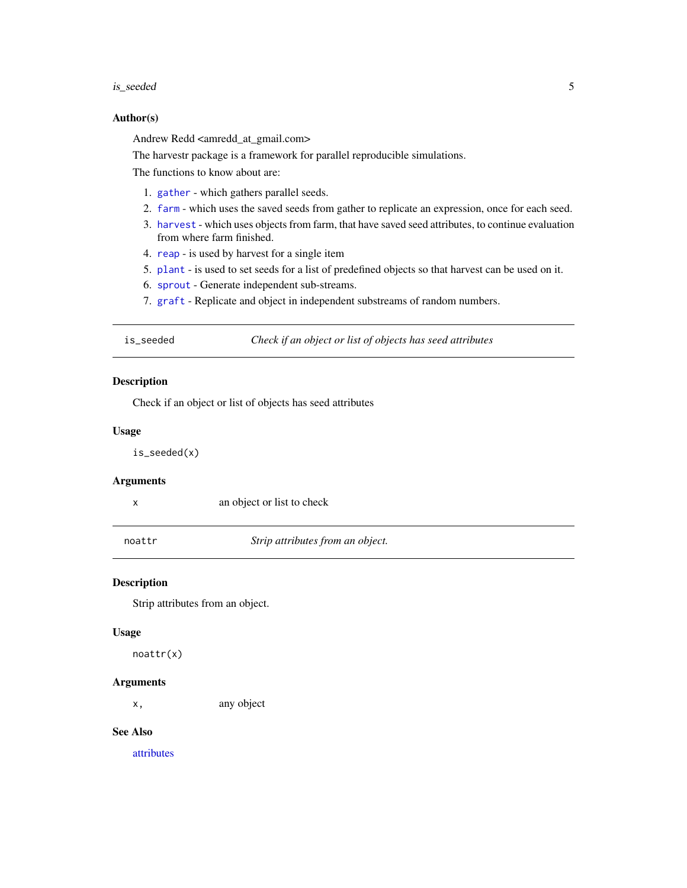#### <span id="page-4-0"></span>is\_seeded 5

#### Author(s)

Andrew Redd <amredd\_at\_gmail.com>

The harvestr package is a framework for parallel reproducible simulations.

The functions to know about are:

- 1. [gather](#page-2-1) which gathers parallel seeds.
- 2. [farm](#page-1-1) which uses the saved seeds from gather to replicate an expression, once for each seed.
- 3. [harvest](#page-2-2) which uses objects from farm, that have saved seed attributes, to continue evaluation from where farm finished.
- 4. [reap](#page-6-1) is used by harvest for a single item
- 5. [plant](#page-5-2) is used to set seeds for a list of predefined objects so that harvest can be used on it.
- 6. [sprout](#page-7-1) Generate independent sub-streams.
- 7. [graft](#page-5-1) Replicate and object in independent substreams of random numbers.

is\_seeded *Check if an object or list of objects has seed attributes*

#### **Description**

Check if an object or list of objects has seed attributes

#### Usage

is\_seeded(x)

#### Arguments

x an object or list to check

noattr *Strip attributes from an object.*

#### Description

Strip attributes from an object.

#### Usage

noattr(x)

#### Arguments

x, any object

#### See Also

[attributes](#page-0-0)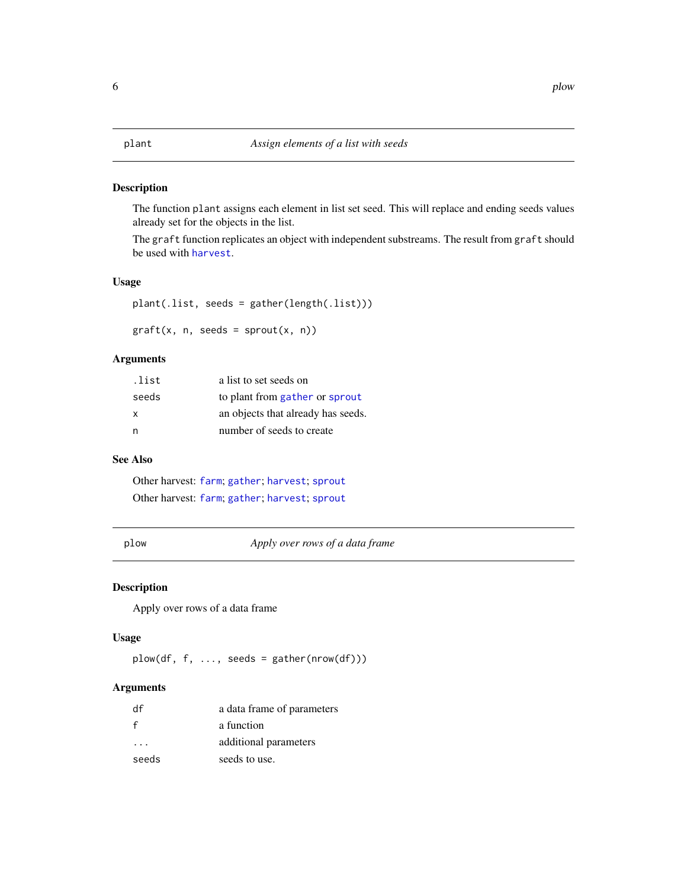<span id="page-5-2"></span><span id="page-5-1"></span><span id="page-5-0"></span>The function plant assigns each element in list set seed. This will replace and ending seeds values already set for the objects in the list.

The graft function replicates an object with independent substreams. The result from graft should be used with [harvest](#page-2-2).

#### Usage

plant(.list, seeds = gather(length(.list)))

 $graff(x, n, seeds = sprout(x, n))$ 

#### Arguments

| .list | a list to set seeds on             |
|-------|------------------------------------|
| seeds | to plant from gather or sprout     |
| X     | an objects that already has seeds. |
| n     | number of seeds to create          |

#### See Also

Other harvest: [farm](#page-1-1); [gather](#page-2-1); [harvest](#page-2-2); [sprout](#page-7-1) Other harvest: [farm](#page-1-1); [gather](#page-2-1); [harvest](#page-2-2); [sprout](#page-7-1)

plow *Apply over rows of a data frame*

#### Description

Apply over rows of a data frame

#### Usage

plow(df, f, ..., seeds = gather(nrow(df)))

#### Arguments

| df          | a data frame of parameters |
|-------------|----------------------------|
| $\mathbf f$ | a function                 |
| $\cdots$    | additional parameters      |
| seeds       | seeds to use.              |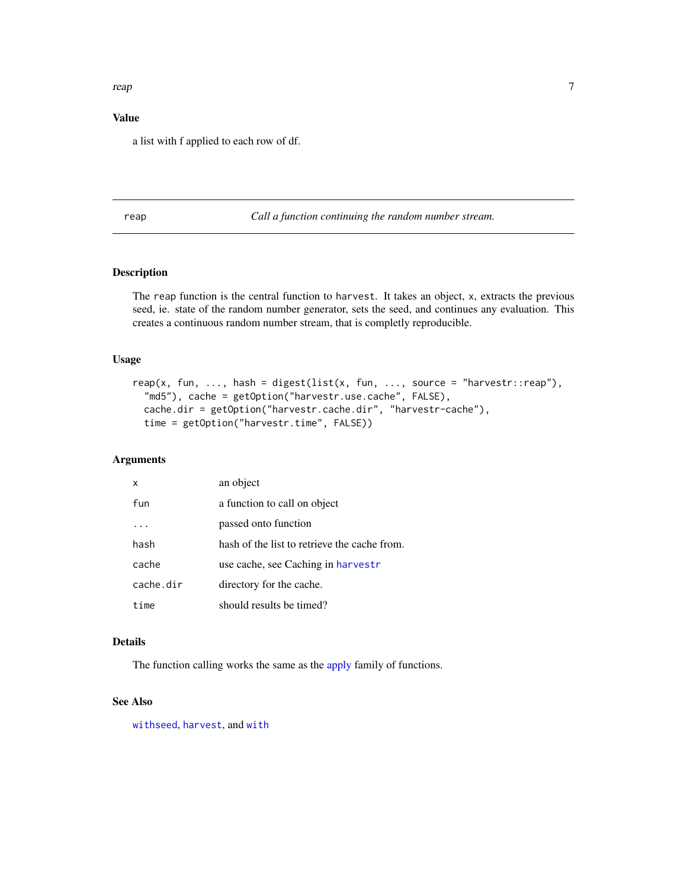#### <span id="page-6-0"></span>reap 2008 and 2008 and 2008 and 2008 and 2008 and 2008 and 2008 and 2008 and 2008 and 2008 and 2008 and 2008 a

#### Value

a list with f applied to each row of df.

<span id="page-6-1"></span>reap *Call a function continuing the random number stream.*

#### Description

The reap function is the central function to harvest. It takes an object, x, extracts the previous seed, ie. state of the random number generator, sets the seed, and continues any evaluation. This creates a continuous random number stream, that is completly reproducible.

#### Usage

```
reap(x, fun, ..., hash = digest(list(x, fun, ..., source = "harvestr::reap"),
  "md5"), cache = getOption("harvestr.use.cache", FALSE),
 cache.dir = getOption("harvestr.cache.dir", "harvestr-cache"),
  time = getOption("harvestr.time", FALSE))
```
#### Arguments

| X         | an object                                    |
|-----------|----------------------------------------------|
| fun       | a function to call on object                 |
|           | passed onto function                         |
| hash      | hash of the list to retrieve the cache from. |
| cache     | use cache, see Caching in harvestr           |
| cache.dir | directory for the cache.                     |
| time      | should results be timed?                     |

#### Details

The function calling works the same as the [apply](#page-0-0) family of functions.

#### See Also

[withseed](#page-9-1), [harvest](#page-2-2), and [with](#page-0-0)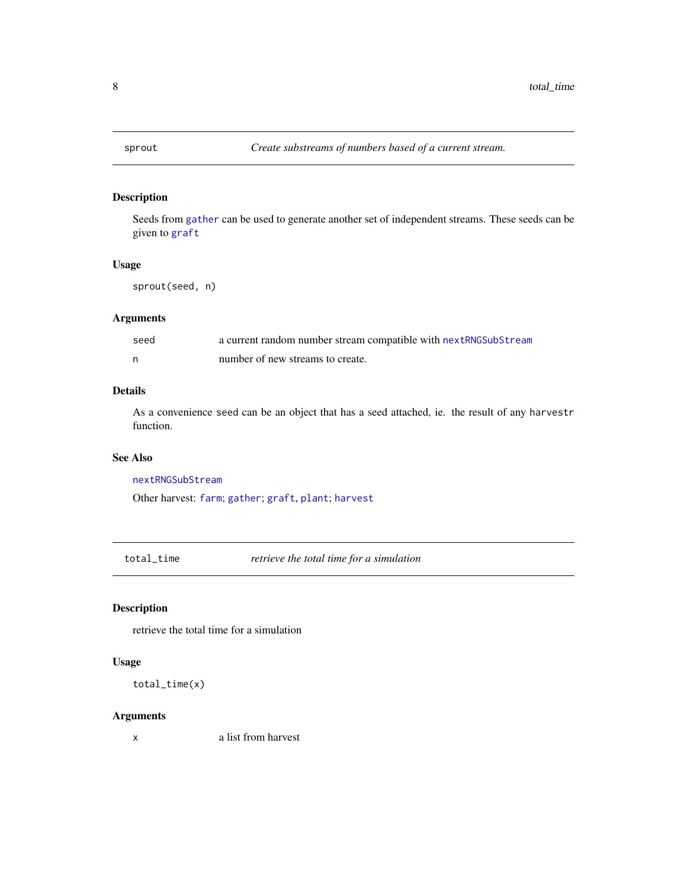<span id="page-7-1"></span><span id="page-7-0"></span>

Seeds from [gather](#page-2-1) can be used to generate another set of independent streams. These seeds can be given to [graft](#page-5-1)

#### Usage

sprout(seed, n)

#### Arguments

| seed | a current random number stream compatible with nextRNGSubStream |
|------|-----------------------------------------------------------------|
|      | number of new streams to create.                                |

#### Details

As a convenience seed can be an object that has a seed attached, ie. the result of any harvestr function.

#### See Also

[nextRNGSubStream](#page-0-0)

Other harvest: [farm](#page-1-1); [gather](#page-2-1); [graft](#page-5-1), [plant](#page-5-2); [harvest](#page-2-2)

total\_time *retrieve the total time for a simulation*

#### Description

retrieve the total time for a simulation

#### Usage

total\_time(x)

#### Arguments

x a list from harvest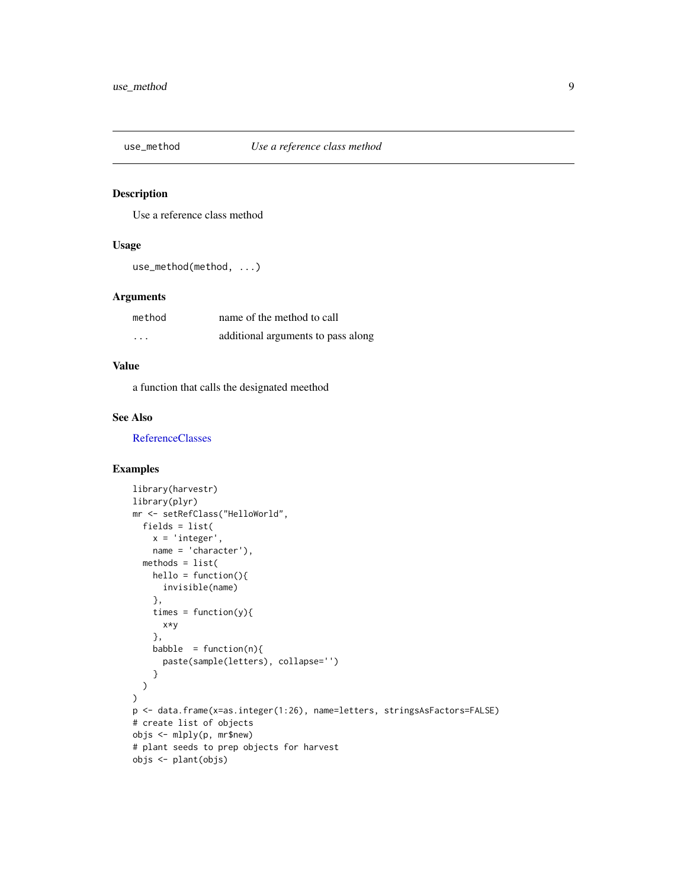<span id="page-8-0"></span>

Use a reference class method

#### Usage

```
use_method(method, ...)
```
#### Arguments

| method   | name of the method to call         |
|----------|------------------------------------|
| $\cdots$ | additional arguments to pass along |

#### Value

a function that calls the designated meethod

#### See Also

[ReferenceClasses](#page-0-0)

#### Examples

```
library(harvestr)
library(plyr)
mr <- setRefClass("HelloWorld",
  fields = list(
   x = 'integer',
   name = 'character'),
  methods = list(hello = function()invisible(name)
   },
    times = function(y){
     x*y
   },
   babble = function(n)paste(sample(letters), collapse='')
    }
  )
\mathcal{L}p <- data.frame(x=as.integer(1:26), name=letters, stringsAsFactors=FALSE)
# create list of objects
objs <- mlply(p, mr$new)
# plant seeds to prep objects for harvest
objs <- plant(objs)
```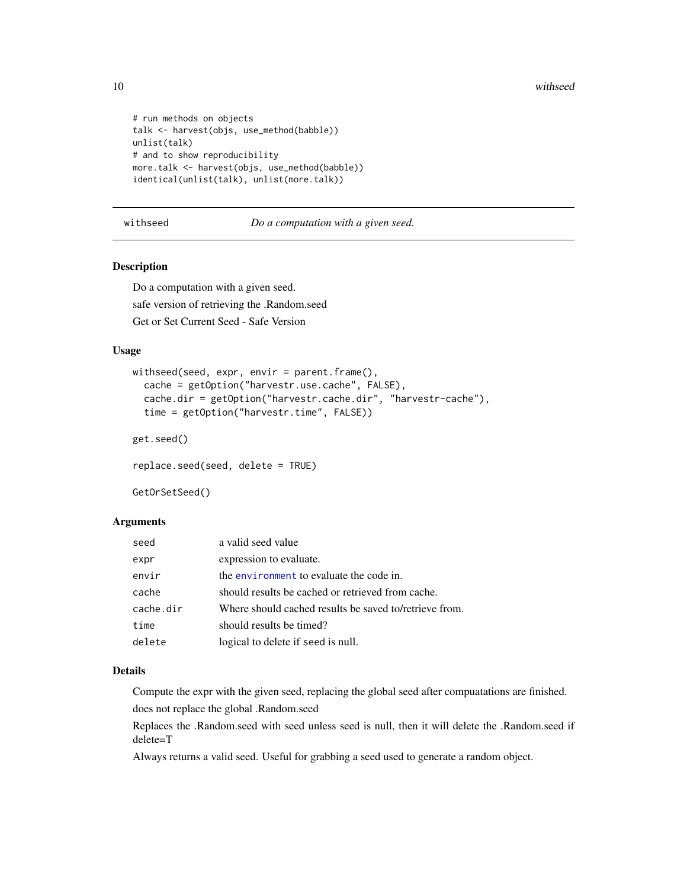```
# run methods on objects
talk <- harvest(objs, use_method(babble))
unlist(talk)
# and to show reproducibility
more.talk <- harvest(objs, use_method(babble))
identical(unlist(talk), unlist(more.talk))
```
#### <span id="page-9-1"></span>withseed *Do a computation with a given seed.*

#### Description

Do a computation with a given seed. safe version of retrieving the .Random.seed Get or Set Current Seed - Safe Version

#### Usage

```
withseed(seed, expr, envir = parent.frame(),
  cache = getOption("harvestr.use.cache", FALSE),
  cache.dir = getOption("harvestr.cache.dir", "harvestr-cache"),
  time = getOption("harvestr.time", FALSE))
get.seed()
```
replace.seed(seed, delete = TRUE)

GetOrSetSeed()

#### Arguments

| seed      | a valid seed value                                     |
|-----------|--------------------------------------------------------|
| expr      | expression to evaluate.                                |
| envir     | the environment to evaluate the code in.               |
| cache     | should results be cached or retrieved from cache.      |
| cache.dir | Where should cached results be saved to/retrieve from. |
| time      | should results be timed?                               |
| delete    | logical to delete if seed is null.                     |

#### Details

Compute the expr with the given seed, replacing the global seed after compuatations are finished. does not replace the global .Random.seed

Replaces the .Random.seed with seed unless seed is null, then it will delete the .Random.seed if delete=T

Always returns a valid seed. Useful for grabbing a seed used to generate a random object.

<span id="page-9-0"></span>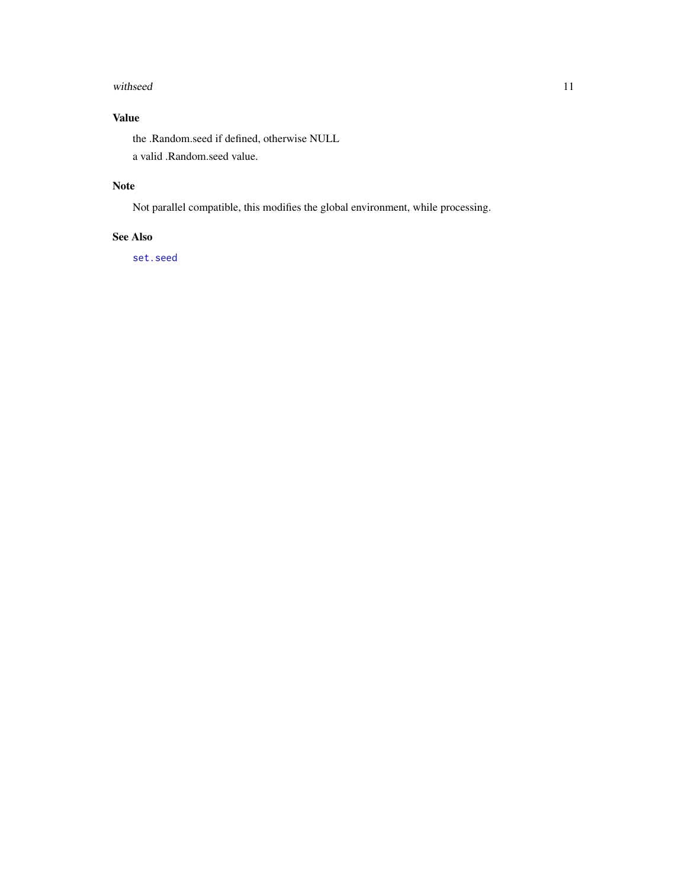#### <span id="page-10-0"></span>withseed 11

#### Value

the .Random.seed if defined, otherwise NULL a valid .Random.seed value.

#### Note

Not parallel compatible, this modifies the global environment, while processing.

#### See Also

[set.seed](#page-0-0)